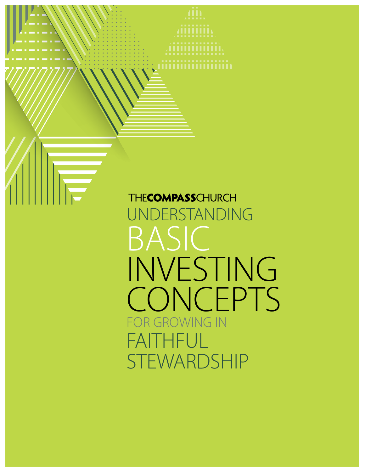**THECOMPASSCHURCH** UNDERSTANDING BASIC INVESTING **CONCEPTS** FOR GROWING IN FAITHFUL STEWARDSHIP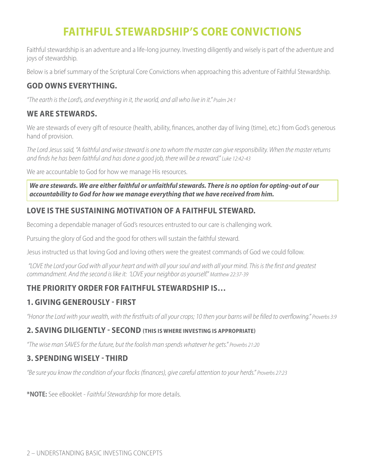# **FAITHFUL STEWARDSHIP'S CORE CONVICTIONS**

Faithful stewardship is an adventure and a life-long journey. Investing diligently and wisely is part of the adventure and joys of stewardship.

Below is a brief summary of the Scriptural Core Convictions when approaching this adventure of Faithful Stewardship.

## **GOD OWNS EVERYTHING.**

*"The earth is the Lord's, and everything in it, the world, and all who live in it." Psalm 24:1*

## **WE ARE STEWARDS.**

We are stewards of every gift of resource (health, ability, finances, another day of living (time), etc.) from God's generous hand of provision.

*The Lord Jesus said, "A faithful and wise steward is one to whom the master can give responsibility. When the master returns and finds he has been faithful and has done a good job, there will be a reward." Luke 12:42-43*

We are accountable to God for how we manage His resources.

*We are stewards. We are either faithful or unfaithful stewards. There is no option for opting-out of our accountability to God for how we manage everything that we have received from him.*

# **LOVE IS THE SUSTAINING MOTIVATION OF A FAITHFUL STEWARD.**

Becoming a dependable manager of God's resources entrusted to our care is challenging work.

Pursuing the glory of God and the good for others will sustain the faithful steward.

Jesus instructed us that loving God and loving others were the greatest commands of God we could follow.

*"LOVE the Lord your God with all your heart and with all your soul and with all your mind. This is the first and greatest commandment. And the second is like it: 'LOVE your neighbor as yourself." Matthew 22:37-39*

## **THE PRIORITY ORDER FOR FAITHFUL STEWARDSHIP IS…**

## **1. GIVING GENEROUSLY - FIRST**

*"Honor the Lord with your wealth, with the firstfruits of all your crops; 10 then your barns will be filled to overflowing." Proverbs 3:9*

### **2. SAVING DILIGENTLY - SECOND (THIS IS WHERE INVESTING IS APPROPRIATE)**

*"The wise man SAVES for the future, but the foolish man spends whatever he gets." Proverbs 21:20*

## **3. SPENDING WISELY - THIRD**

*"Be sure you know the condition of your flocks (finances), give careful attention to your herds." Proverbs 27:23*

**\*NOTE:** See eBooklet - *Faithful Stewardship* for more details.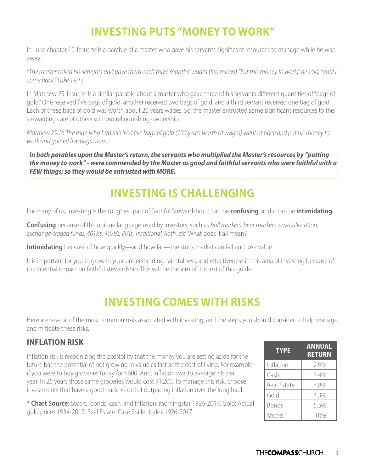# **INVESTING PUTS "MONEY TO WORK"**

In Luke chapter 19 Jesus tells a parable of a master who gave his servants significant resources to manage while he was away.

*"The master called his servants and gave them each three months' wages (ten minas) "Put this money to work," he said, "until I come back." Luke 19:13*

In Matthew 25 Jesus tells a similar parable about a master who gave three of his servants different quantities of "bags of gold." One received five bags of gold, another received two bags of gold, and a third servant received one bag of gold. Each of these bags of gold was worth about 20 years wages. So, the master entrusted some significant resources to the stewarding care of others without relinquishing ownership.

*Matthew 25:16 The man who had received five bags of gold (100 years worth of wages) went at once and put his money to work and gained five bags more.*

*In both parables upon the Master's return, the servants who multiplied the Master's resources by "putting the money to work" - were commended by the Master as good and faithful servants who were faithful with a FEW things; so they would be entrusted with MORE.*

# **INVESTING IS CHALLENGING**

For many of us, investing is the toughest part of Faithful Stewardship. It can be **confusing**, and it can be **intimidating.**

**Confusing** because of the unique language used by investors, such as *bull markets, bear markets, asset allocation, exchange-traded funds, 401k's, 403b's, IRA's, Traditional, Roth, etc.* What does it all mean?

**Intimidating** because of how quickly—and how far—the stock market can fall and lose value.

It is important for you to grow in your understanding, faithfulness, and effectiveness in this area of investing because of its potential impact on faithful stewardship. This will be the aim of the rest of this guide.

# **INVESTING COMES WITH RISKS**

Here are several of the most common risks associated with investing, and the steps you should consider to help manage and mitigate these risks.

### **INFLATION RISK**

Inflation risk is recognizing the possibility that the money you are setting aside for the future has the potential of not growing in value as fast as the cost of living. For example, if you were to buy groceries today for \$600. And, inflation was to average 3% per year. In 25 years those same groceries would cost \$1,200. To manage this risk, choose investments that have a good track record of outpacing inflation over the long haul.

**\* Chart Source:** Stocks, bonds, cash, and inflation: Morningstar 1926-2017. Gold: Actual gold prices 1934-2017. Real Estate: Case Shiller Index 1926-2017.

| <b>TYPE</b>  | <b>ANNUAL</b><br><b>RETURN</b> |
|--------------|--------------------------------|
| Inflation    | 2.9%                           |
| Cash         | 3.4%                           |
| Real Estate  | 3.8%                           |
| Gold         | 4.3%                           |
| <b>Bonds</b> | 5.5%                           |
| Stocks       | 10%                            |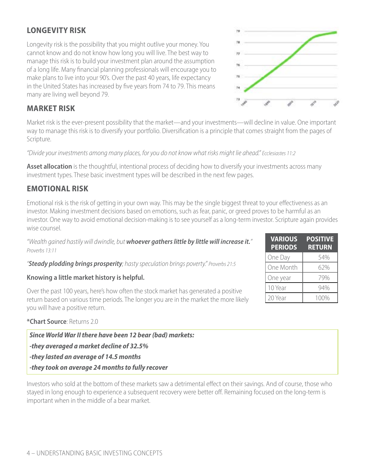## **LONGEVITY RISK**

Longevity risk is the possibility that you might outlive your money. You cannot know and do not know how long you will live. The best way to manage this risk is to build your investment plan around the assumption of a long life. Many financial planning professionals will encourage you to make plans to live into your 90's. Over the past 40 years, life expectancy in the United States has increased by five years from 74 to 79. This means many are living well beyond 79.

# **MARKET RISK**

Market risk is the ever-present possibility that the market—and your investments—will decline in value. One important way to manage this risk is to diversify your portfolio. Diversification is a principle that comes straight from the pages of Scripture.

*"Divide your investments among many places, for you do not know what risks might lie ahead." Ecclesiastes 11:2*

Asset allocation is the thoughtful, intentional process of deciding how to diversify your investments across many investment types. These basic investment types will be described in the next few pages.

## **EMOTIONAL RISK**

Emotional risk is the risk of getting in your own way. This may be the single biggest threat to your effectiveness as an investor. Making investment decisions based on emotions, such as fear, panic, or greed proves to be harmful as an investor. One way to avoid emotional decision-making is to see yourself as a long-term investor. Scripture again provides wise counsel.

*"Wealth gained hastily will dwindle, but whoever gathers little by little will increase it." Proverbs 13:11*

*"Steady plodding brings prosperity; hasty speculation brings poverty." Proverbs 21:5*

#### **Knowing a little market history is helpful.**

Over the past 100 years, here's how often the stock market has generated a positive return based on various time periods. The longer you are in the market the more likely you will have a positive return.

#### **\*Chart Source**: Returns 2.0

| <b>Since World War II there have been 12 bear (bad) markets:</b> |
|------------------------------------------------------------------|
| -they averaged a market decline of 32.5%                         |
| -they lasted an average of 14.5 months                           |
| -they took on average 24 months to fully recover                 |

Investors who sold at the bottom of these markets saw a detrimental effect on their savings. And of course, those who stayed in long enough to experience a subsequent recovery were better off. Remaining focused on the long-term is important when in the middle of a bear market.

| <b>VARIOUS</b><br><b>PERIODS</b> | <b>POSITIVE</b><br><b>RETURN</b> |
|----------------------------------|----------------------------------|
| One Day                          | 54%                              |
| One Month                        | 62%                              |
| One year                         | 79%                              |
| 10 Year                          | 94%                              |
| 20 Year                          | 100%                             |

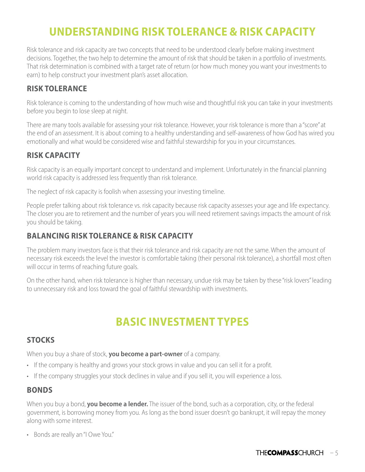# **UNDERSTANDING RISK TOLERANCE & RISK CAPACITY**

Risk tolerance and risk capacity are two concepts that need to be understood clearly before making investment decisions. Together, the two help to determine the amount of risk that should be taken in a portfolio of investments. That risk determination is combined with a target rate of return (or how much money you want your investments to earn) to help construct your investment plan's asset allocation.

### **RISK TOLERANCE**

Risk tolerance is coming to the understanding of how much wise and thoughtful risk you can take in your investments before you begin to lose sleep at night.

There are many tools available for assessing your risk tolerance. However, your risk tolerance is more than a "score" at the end of an assessment. It is about coming to a healthy understanding and self-awareness of how God has wired you emotionally and what would be considered wise and faithful stewardship for you in your circumstances.

### **RISK CAPACITY**

Risk capacity is an equally important concept to understand and implement. Unfortunately in the financial planning world risk capacity is addressed less frequently than risk tolerance.

The neglect of risk capacity is foolish when assessing your investing timeline.

People prefer talking about risk tolerance vs. risk capacity because risk capacity assesses your age and life expectancy. The closer you are to retirement and the number of years you will need retirement savings impacts the amount of risk you should be taking.

### **BALANCING RISK TOLERANCE & RISK CAPACITY**

The problem many investors face is that their risk tolerance and risk capacity are not the same. When the amount of necessary risk exceeds the level the investor is comfortable taking (their personal risk tolerance), a shortfall most often will occur in terms of reaching future goals.

On the other hand, when risk tolerance is higher than necessary, undue risk may be taken by these "risk lovers" leading to unnecessary risk and loss toward the goal of faithful stewardship with investments.

# **BASIC INVESTMENT TYPES**

### **STOCKS**

When you buy a share of stock, **you become a part-owner** of a company.

- If the company is healthy and grows your stock grows in value and you can sell it for a profit.
- If the company struggles your stock declines in value and if you sell it, you will experience a loss.

#### **BONDS**

When you buy a bond, **you become a lender.** The issuer of the bond, such as a corporation, city, or the federal government, is borrowing money from you. As long as the bond issuer doesn't go bankrupt, it will repay the money along with some interest.

• Bonds are really an "I Owe You."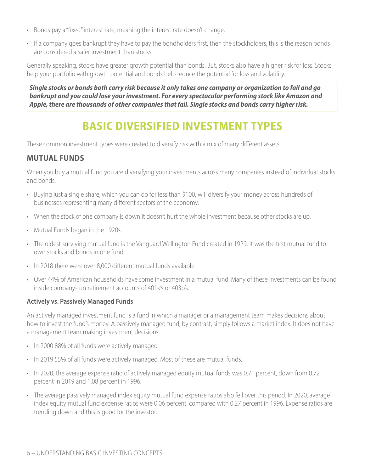- Bonds pay a "fixed" interest rate, meaning the interest rate doesn't change.
- If a company goes bankrupt they have to pay the bondholders first, then the stockholders, this is the reason bonds are considered a safer investment than stocks.

Generally speaking, stocks have greater growth potential than bonds. But, stocks also have a higher risk for loss. Stocks help your portfolio with growth potential and bonds help reduce the potential for loss and volatility.

*Single stocks or bonds both carry risk because it only takes one company or organization to fail and go bankrupt and you could lose your investment. For every spectacular performing stock like Amazon and Apple, there are thousands of other companies that fail. Single stocks and bonds carry higher risk.*

# **BASIC DIVERSIFIED INVESTMENT TYPES**

These common investment types were created to diversify risk with a mix of many different assets.

# **MUTUAL FUNDS**

When you buy a mutual fund you are diversifying your investments across many companies instead of individual stocks and bonds.

- Buying just a single share, which you can do for less than \$100, will diversify your money across hundreds of businesses representing many different sectors of the economy.
- When the stock of one company is down it doesn't hurt the whole investment because other stocks are up.
- Mutual Funds began in the 1920s.
- The oldest surviving mutual fund is the Vanguard Wellington Fund created in 1929. It was the first mutual fund to own stocks and bonds in one fund.
- In 2018 there were over 8,000 different mutual funds available.
- Over 44% of American households have some investment in a mutual fund. Many of these investments can be found inside company-run retirement accounts of 401k's or 403b's.

#### **Actively vs. Passively Managed Funds**

An actively managed investment fund is a fund in which a manager or a management team makes decisions about how to invest the fund's money. A passively managed fund, by contrast, simply follows a market index. It does not have a management team making investment decisions.

- In 2000 88% of all funds were actively managed.
- In 2019 55% of all funds were actively managed. Most of these are mutual funds.
- In 2020, the average expense ratio of actively managed equity mutual funds was 0.71 percent, down from 0.72 percent in 2019 and 1.08 percent in 1996.
- The average passively managed index equity mutual fund expense ratios also fell over this period. In 2020, average index equity mutual fund expense ratios were 0.06 percent, compared with 0.27 percent in 1996. Expense ratios are trending down and this is good for the investor.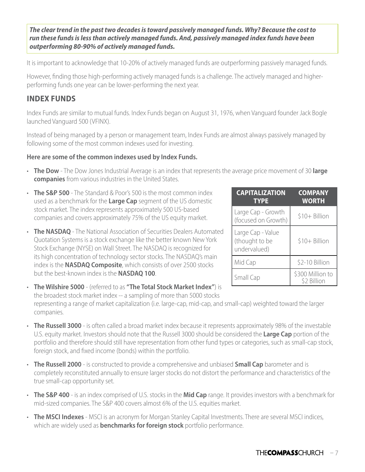*The clear trend in the past two decades is toward passively managed funds. Why? Because the cost to run these funds is less than actively managed funds. And, passively managed index funds have been outperforming 80-90% of actively managed funds.*

It is important to acknowledge that 10-20% of actively managed funds are outperforming passively managed funds.

However, finding those high-performing actively managed funds is a challenge. The actively managed and higherperforming funds one year can be lower-performing the next year.

### **INDEX FUNDS**

Index Funds are similar to mutual funds. Index Funds began on August 31, 1976, when Vanguard founder Jack Bogle launched Vanguard 500 (VFINX).

Instead of being managed by a person or management team, Index Funds are almost always passively managed by following some of the most common indexes used for investing.

#### **Here are some of the common indexes used by Index Funds.**

- **The Dow** The Dow Jones Industrial Average is an index that represents the average price movement of 30 **large companies** from various industries in the United States.
- **The S&P 500** The Standard & Poor's 500 is the most common index used as a benchmark for the **Large Cap** segment of the US domestic stock market. The index represents approximately 500 US-based companies and covers approximately 75% of the US equity market.
- **The NASDAQ** The National Association of Securities Dealers Automated Quotation Systems is a stock exchange like the better known New York Stock Exchange (NYSE) on Wall Street. The NASDAQ is recognized for its high concentration of technology sector stocks. The NASDAQ's main index is the **NASDAQ Composite**, which consists of over 2500 stocks but the best-known index is the **NASDAQ 100**.
- **The Wilshire 5000** (referred to as **"The Total Stock Market Index"**) is the broadest stock market index -- a sampling of more than 5000 stocks representing a range of market capitalization (i.e. large-cap, mid-cap, and small-cap) weighted toward the larger companies.
- **The Russell 3000** is often called a broad market index because it represents approximately 98% of the investable U.S. equity market. Investors should note that the Russell 3000 should be considered the **Large Cap** portion of the portfolio and therefore should still have representation from other fund types or categories, such as small-cap stock, foreign stock, and fixed income (bonds) within the portfolio.
- **The Russell 2000** is constructed to provide a comprehensive and unbiased **Small Cap** barometer and is completely reconstituted annually to ensure larger stocks do not distort the performance and characteristics of the true small-cap opportunity set.
- **The S&P 400** is an index comprised of U.S. stocks in the **Mid Cap** range. It provides investors with a benchmark for mid-sized companies. The S&P 400 covers almost 6% of the U.S. equities market.
- **The MSCI Indexes** MSCI is an acronym for Morgan Stanley Capital Investments. There are several MSCI indices, which are widely used as **benchmarks for foreign stock** portfolio performance.

| <b>CAPITALIZATION</b><br><b>TYPE</b>                | <b>COMPANY</b><br><b>WORTH</b>  |
|-----------------------------------------------------|---------------------------------|
| Large Cap - Growth<br>(focused on Growth)           | \$10+ Billion                   |
| Large Cap - Value<br>(thought to be<br>undervalued) | \$10+ Billion                   |
| Mid Cap                                             | \$2-10 Billion                  |
| Small Cap                                           | \$300 Million to<br>\$2 Billion |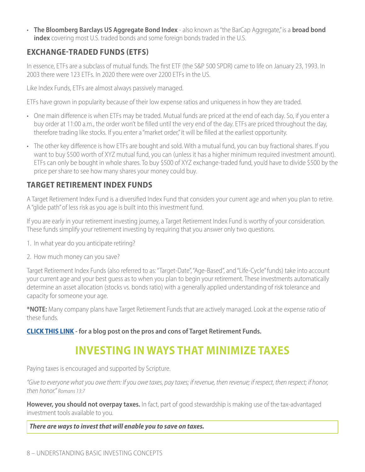• **The Bloomberg Barclays US Aggregate Bond Index** - also known as "the BarCap Aggregate," is a **broad bond index** covering most U.S. traded bonds and some foreign bonds traded in the U.S.

## **EXCHANGE-TRADED FUNDS (ETFS)**

In essence, ETFs are a subclass of mutual funds. The first ETF (the S&P 500 SPDR) came to life on January 23, 1993. In 2003 there were 123 ETFs. In 2020 there were over 2200 ETFs in the US.

Like Index Funds, ETFs are almost always passively managed.

ETFs have grown in popularity because of their low expense ratios and uniqueness in how they are traded.

- One main difference is when ETFs may be traded. Mutual funds are priced at the end of each day. So, if you enter a buy order at 11:00 a.m., the order won't be filled until the very end of the day. ETFs are priced throughout the day, therefore trading like stocks. If you enter a "market order," it will be filled at the earliest opportunity.
- The other key difference is how ETFs are bought and sold. With a mutual fund, you can buy fractional shares. If you want to buy \$500 worth of XYZ mutual fund, you can (unless it has a higher minimum required investment amount). ETFs can only be bought in whole shares. To buy \$500 of XYZ exchange-traded fund, you'd have to divide \$500 by the price per share to see how many shares your money could buy.

## **TARGET RETIREMENT INDEX FUNDS**

A Target Retirement Index Fund is a diversified Index Fund that considers your current age and when you plan to retire. A "glide path" of less risk as you age is built into this investment fund.

If you are early in your retirement investing journey, a Target Retirement Index Fund is worthy of your consideration. These funds simplify your retirement investing by requiring that you answer only two questions.

1. In what year do you anticipate retiring?

2. How much money can you save?

Target Retirement Index Funds (also referred to as: "Target-Date", "Age-Based", and "Life-Cycle" funds) take into account your current age and your best guess as to when you plan to begin your retirement. These investments automatically determine an asset allocation (stocks vs. bonds ratio) with a generally applied understanding of risk tolerance and capacity for someone your age.

**\*NOTE:** Many company plans have Target Retirement Funds that are actively managed. Look at the expense ratio of these funds.

**[CLICK THIS LINK](https://soundmindinvesting.com/articles/view/target-date-funds-the-devils-in-the-details) - for a blog post on the pros and cons of Target Retirement Funds.**

# **INVESTING IN WAYS THAT MINIMIZE TAXES**

Paying taxes is encouraged and supported by Scripture.

*"Give to everyone what you owe them: If you owe taxes, pay taxes; if revenue, then revenue; if respect, then respect; if honor, then honor." Romans 13:7*

**However, you should not overpay taxes.** In fact, part of good stewardship is making use of the tax-advantaged investment tools available to you.

#### *There are ways to invest that will enable you to save on taxes.*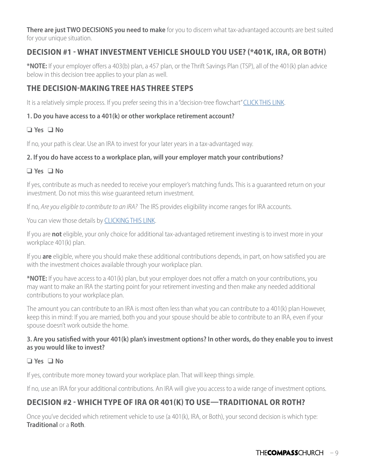**There are just TWO DECISIONS you need to make** for you to discern what tax-advantaged accounts are best suited for your unique situation.

## **DECISION #1 - WHAT INVESTMENT VEHICLE SHOULD YOU USE? (\*401K, IRA, OR BOTH)**

**\*NOTE:** If your employer offers a 403(b) plan, a 457 plan, or the Thrift Savings Plan (TSP), all of the 401(k) plan advice below in this decision tree applies to your plan as well.

## **THE DECISION-MAKING TREE HAS THREE STEPS**

It is a relatively simple process. If you prefer seeing this in a "decision-tree flowchart" [CLICK THIS LINK](https://dcktxkaneetr8.cloudfront.net/resources/401(k)_IRA%20Decision%20Tree.pdf).

#### **1. Do you have access to a 401(k) or other workplace retirement account?**

#### ❏ **Yes** ❑ **No**

If no, your path is clear. Use an IRA to invest for your later years in a tax-advantaged way.

#### **2. If you do have access to a workplace plan, will your employer match your contributions?**

#### ❑ **Yes** ❑ **No**

If yes, contribute as much as needed to receive your employer's matching funds. This is a guaranteed return on your investment. Do not miss this wise guaranteed return investment.

If no, *Are you eligible to contribute to an IRA?* The IRS provides eligibility income ranges for IRA accounts.

You can view those details by [CLICKING THIS LINK](https://www.irs.gov/newsroom/new-income-ranges-for-ira-eligibility-in-2021).

If you are **not** eligible, your only choice for additional tax-advantaged retirement investing is to invest more in your workplace 401(k) plan.

If you **are** eligible, where you should make these additional contributions depends, in part, on how satisfied you are with the investment choices available through your workplace plan.

**\*NOTE:** If you have access to a 401(k) plan, but your employer does not offer a match on your contributions, you may want to make an IRA the starting point for your retirement investing and then make any needed additional contributions to your workplace plan.

The amount you can contribute to an IRA is most often less than what you can contribute to a 401(k) plan However, keep this in mind: If you are married, both you and your spouse should be able to contribute to an IRA, even if your spouse doesn't work outside the home.

#### **3. Are you satisfied with your 401(k) plan's investment options? In other words, do they enable you to invest as you would like to invest?**

#### ❏ **Yes** ❑ **No**

If yes, contribute more money toward your workplace plan. That will keep things simple.

If no, use an IRA for your additional contributions. An IRA will give you access to a wide range of investment options.

# **DECISION #2 - WHICH TYPE OF IRA OR 401(K) TO USE—TRADITIONAL OR ROTH?**

Once you've decided which retirement vehicle to use (a 401(k), IRA, or Both), your second decision is which type: **Traditional** or a **Roth**.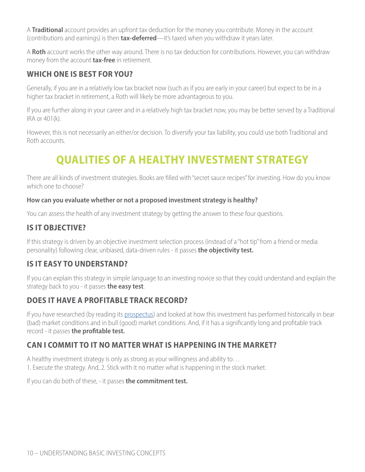A **Traditional** account provides an upfront tax deduction for the money you contribute. Money in the account (contributions and earnings) is then **tax-deferred**—it's taxed when you withdraw it years later.

A **Roth** account works the other way around. There is no tax deduction for contributions. However, you can withdraw money from the account **tax-free** in retirement.

## **WHICH ONE IS BEST FOR YOU?**

Generally, if you are in a relatively low tax bracket now (such as if you are early in your career) but expect to be in a higher tax bracket in retirement, a Roth will likely be more advantageous to you.

If you are further along in your career and in a relatively high tax bracket now, you may be better served by a Traditional IRA or 401(k).

However, this is not necessarily an either/or decision. To diversify your tax liability, you could use both Traditional and Roth accounts.

# **QUALITIES OF A HEALTHY INVESTMENT STRATEGY**

There are all kinds of investment strategies. Books are filled with "secret sauce recipes" for investing. How do you know which one to choose?

#### **How can you evaluate whether or not a proposed investment strategy is healthy?**

You can assess the health of any investment strategy by getting the answer to these four questions.

# **IS IT OBJECTIVE?**

If this strategy is driven by an objective investment selection process (instead of a "hot tip" from a friend or media personality) following clear, unbiased, data-driven rules - it passes **the objectivity test.**

### **IS IT EASY TO UNDERSTAND?**

If you can explain this strategy in simple language to an investing novice so that they could understand and explain the strategy back to you - it passes **the easy test**.

### **DOES IT HAVE A PROFITABLE TRACK RECORD?**

If you have researched (by reading its [prospectus](https://www.investopedia.com/terms/p/prospectus.asp)) and looked at how this investment has performed historically in bear (bad) market conditions and in bull (good) market conditions. And, if it has a significantly long and profitable track record - it passes **the profitable test.**

### **CAN I COMMIT TO IT NO MATTER WHAT IS HAPPENING IN THE MARKET?**

A healthy investment strategy is only as strong as your willingness and ability to… 1. Execute the strategy. And, 2. Stick with it no matter what is happening in the stock market.

If you can do both of these, - it passes **the commitment test.**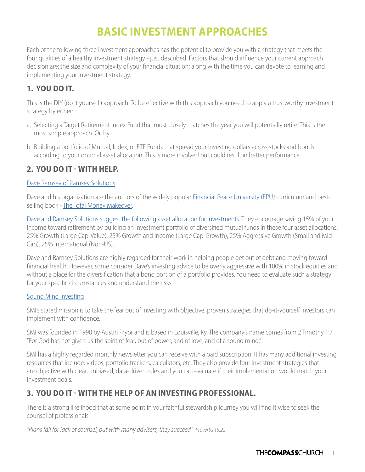# **BASIC INVESTMENT APPROACHES**

Each of the following three investment approaches has the potential to provide you with a strategy that meets the four qualities of a healthy investment strategy - just described. Factors that should influence your current approach decision are: the size and complexity of your financial situation; along with the time you can devote to learning and implementing your investment strategy.

## **1. YOU DO IT.**

This is the DIY (do it yourself) approach. To be effective with this approach you need to apply a trustworthy investment strategy by either:

- a. Selecting a Target Retirement Index Fund that most closely matches the year you will potentially retire. This is the most simple approach. Or, by …
- b. Building a portfolio of Mutual, Index, or ETF Funds that spread your investing dollars across stocks and bonds according to your optimal asset allocation. This is more involved but could result in better performance.

# **2. YOU DO IT - WITH HELP.**

#### [Dave Ramsey of Ramsey Solutions](https://www.ramseysolutions.com)

Dave and his organization are the authors of the widely popular [Financial Peace University \(FPU](https://www.ramseysolutions.com/store/digital-products/financial-peace-university-class)*)* curriculum and bestselling book - [The Total Money Makeover](https://www.amazon.com/Total-Money-Makeover-Classic-Financial/dp/1595555277/ref=sr_1_1?crid=ENWAOWMX38E3&dchild=1&keywords=the+total+money+makeover+by+dave+ramsey&qid=1620070299&sprefix=The+Total+Money+Makeover,aps,182&sr=8-1).

[Dave and Ramsey Solutions suggest the following asset allocation for investments.](https://www.ramseysolutions.com/retirement/daves-investing-philosophy) They encourage saving 15% of your income toward retirement by building an investment portfolio of diversified mutual funds in these four asset allocations: 25% Growth (Large Cap-Value), 25% Growth and Income (Large Cap-Growth), 25% Aggressive Growth (Small and Mid Cap), 25% International (Non-US).

Dave and Ramsey Solutions are highly regarded for their work in helping people get out of debt and moving toward financial health. However, some consider Dave's investing advice to be overly aggressive with 100% in stock equities and without a place for the diversification that a bond portion of a portfolio provides. You need to evaluate such a strategy for your specific circumstances and understand the risks.

#### [Sound Mind Investing](https://soundmindinvesting.com)

SMI's stated mission is to take the fear out of investing with objective, proven strategies that do-it-yourself investors can implement with confidence.

SMI was founded in 1990 by Austin Pryor and is based in Louisville, Ky. The company's name comes from 2 Timothy 1:7 "For God has not given us the spirit of fear, but of power, and of love, and of a sound mind."

SMI has a highly regarded monthly newsletter you can receive with a paid subscription. It has many additional investing resources that include: videos, portfolio trackers, calculators, etc. They also provide four investment strategies that are objective with clear, unbiased, data-driven rules and you can evaluate if their implementation would match your investment goals.

## **3. YOU DO IT - WITH THE HELP OF AN INVESTING PROFESSIONAL.**

There is a strong likelihood that at some point in your faithful stewardship journey you will find it wise to seek the counsel of professionals.

*"Plans fail for lack of counsel, but with many advisers, they succeed." Proverbs 15:22*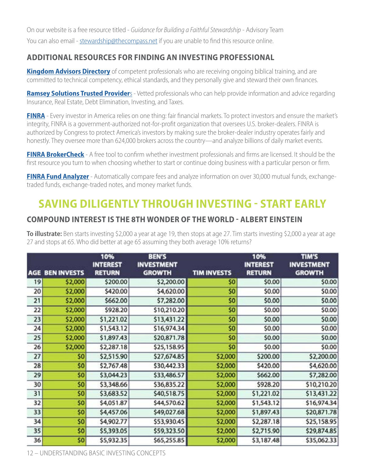On our website is a free resource titled - *Guidance for Building a Faithful Stewardship* - Advisory Team You can also email - [stewardship@thecompass.net](mailto:stewardship%40thecompass.net?subject=Guidance%20for%20Building%20a%20Faithful%20Stewardship) if you are unable to find this resource online.

## **ADDITIONAL RESOURCES FOR FINDING AN INVESTING PROFESSIONAL**

**[Kingdom Advisors Directory](https://kingdomadvisors.com/find-a-professional/directory-search)** of competent professionals who are receiving ongoing biblical training, and are committed to technical competency, ethical standards, and they personally give and steward their own finances.

**[Ramsey Solutions Trusted Provider](https://www.ramseysolutions.com/trusted?snid=trusted-pros)**s - Vetted professionals who can help provide information and advice regarding Insurance, Real Estate, Debt Elimination, Investing, and Taxes.

**[FINRA](https://www.finra.org/about)** - Every investor in America relies on one thing: fair financial markets. To protect investors and ensure the market's integrity, FINRA is a government-authorized not-for-profit organization that oversees U.S. broker-dealers. FINRA is authorized by Congress to protect America's investors by making sure the broker-dealer industry operates fairly and honestly. They oversee more than 624,000 brokers across the country—and analyze billions of daily market events.

**[FINRA BrokerCheck](https://brokercheck.finra.org)** - A free tool to confirm whether investment professionals and firms are licensed. It should be the first resource you turn to when choosing whether to start or continue doing business with a particular person or firm.

**[FINRA Fund Analyzer](https://tools.finra.org/fund_analyzer/)** - Automatically compare fees and analyze information on over 30,000 mutual funds, exchangetraded funds, exchange-traded notes, and money market funds.

# **SAVING DILIGENTLY THROUGH INVESTING - START EARLY**

## **COMPOUND INTEREST IS THE 8TH WONDER OF THE WORLD - ALBERT EINSTEIN**

**To illustrate:** Ben starts investing \$2,000 a year at age 19, then stops at age 27. Tim starts investing \$2,000 a year at age 27 and stops at 65. Who did better at age 65 assuming they both average 10% returns?

|    | <b>AGE BEN INVESTS</b> | 10%<br><b>INTEREST</b><br><b>RETURN</b> | <b>BEN'S</b><br><b>INVESTMENT</b><br><b>GROWTH</b> | <b>TIM INVESTS</b> | 10%<br><b>INTEREST</b><br><b>RETURN</b> | <b>TIM'S</b><br><b>INVESTMENT</b><br><b>GROWTH</b> |
|----|------------------------|-----------------------------------------|----------------------------------------------------|--------------------|-----------------------------------------|----------------------------------------------------|
| 19 | \$2,000                | \$200.00                                | \$2,200.00                                         | \$0                | \$0.00                                  | \$0.00                                             |
| 20 | \$2,000                | \$420.00                                | \$4,620.00                                         | \$0                | \$0.00                                  | \$0.00                                             |
| 21 | \$2,000                | \$662.00                                | \$7,282.00                                         | \$0                | \$0.00                                  | \$0.00                                             |
| 22 | \$2,000                | \$928.20                                | \$10,210.20                                        | \$0                | \$0.00                                  | \$0.00                                             |
| 23 | \$2,000                | \$1,221.02                              | \$13,431.22                                        | \$0                | \$0.00                                  | \$0.00                                             |
| 24 | \$2,000                | \$1,543.12                              | \$16,974.34                                        | \$0                | \$0.00                                  | \$0.00                                             |
| 25 | \$2,000                | \$1,897.43                              | \$20,871.78                                        | \$0                | \$0.00                                  | \$0.00                                             |
| 26 | \$2,000                | \$2,287.18                              | \$25,158.95                                        | \$0                | \$0.00                                  | \$0.00                                             |
| 27 | \$0                    | \$2,515.90                              | \$27,674.85                                        | \$2,000            | \$200.00                                | \$2,200.00                                         |
| 28 | \$0                    | \$2,767.48                              | \$30,442.33                                        | \$2,000            | \$420.00                                | \$4,620.00                                         |
| 29 | \$0                    | \$3,044.23                              | \$33,486.57                                        | \$2,000            | \$662.00                                | \$7,282.00                                         |
| 30 | \$0                    | \$3,348.66                              | \$36,835.22                                        | \$2,000            | \$928.20                                | \$10,210.20                                        |
| 31 | \$0                    | \$3,683.52                              | \$40,518.75                                        | \$2,000            | \$1,221.02                              | \$13,431.22                                        |
| 32 | \$0                    | \$4,051.87                              | \$44,570.62                                        | \$2,000            | \$1,543.12                              | \$16,974.34                                        |
| 33 | \$0                    | \$4,457.06                              | \$49,027.68                                        | \$2,000            | \$1,897.43                              | \$20,871.78                                        |
| 34 | \$0                    | \$4,902.77                              | \$53,930.45                                        | \$2,000            | \$2,287.18                              | \$25,158.95                                        |
| 35 | \$0                    | \$5,393.05                              | \$59,323.50                                        | \$2,000            | \$2,715.90                              | \$29,874.85                                        |
| 36 | \$0                    | \$5,932.35                              | \$65,255.85                                        | \$2,000            | \$3,187.48                              | \$35,062.33                                        |

12 – UNDERSTANDING BASIC INVESTING CONCEPTS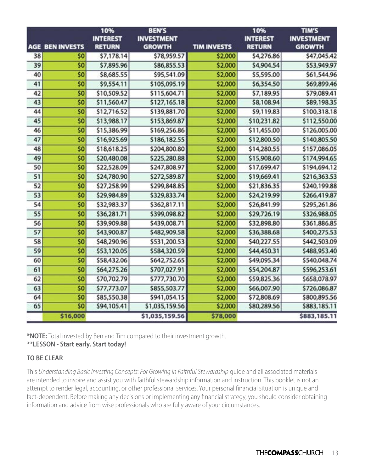|    |                        | 10%<br><b>INTEREST</b> | <b>BEN'S</b><br><b>INVESTMENT</b> |                    | 10%<br><b>INTEREST</b> | <b>TIM'S</b><br><b>INVESTMENT</b> |
|----|------------------------|------------------------|-----------------------------------|--------------------|------------------------|-----------------------------------|
|    | <b>AGE BEN INVESTS</b> | <b>RETURN</b>          | <b>GROWTH</b>                     | <b>TIM INVESTS</b> | <b>RETURN</b>          | <b>GROWTH</b>                     |
| 38 | \$0                    | \$7,178.14             | \$78,959.57                       | \$2,000            | \$4,276.86             | \$47,045.42                       |
| 39 | \$0                    | \$7,895.96             | \$86,855.53                       | \$2,000            | \$4,904.54             | \$53,949.97                       |
| 40 | \$0                    | \$8,685.55             | \$95,541.09                       | \$2,000            | \$5,595.00             | \$61,544.96                       |
| 41 | \$0                    | \$9,554.11             | \$105,095.19                      | \$2,000            | \$6,354.50             | \$69,899.46                       |
| 42 | \$0                    | \$10,509.52            | \$115,604.71                      | \$2,000            | \$7,189.95             | \$79,089.41                       |
| 43 | \$0                    | \$11,560.47            | \$127,165.18                      | \$2,000            | \$8,108.94             | \$89,198.35                       |
| 44 | \$0                    | \$12,716.52            | \$139,881.70                      | \$2,000            | \$9,119.83             | \$100,318.18                      |
| 45 | \$0                    | \$13,988.17            | \$153,869.87                      | \$2,000            | \$10,231.82            | \$112,550.00                      |
| 46 | \$0                    | \$15,386.99            | \$169,256.86                      | \$2,000            | \$11,455.00            | \$126,005.00                      |
| 47 | \$0                    | \$16,925.69            | \$186,182.55                      | \$2,000            | \$12,800.50            | \$140,805.50                      |
| 48 | \$0                    | \$18,618.25            | \$204,800.80                      | \$2,000            | \$14,280.55            | \$157,086.05                      |
| 49 | \$0                    | \$20,480.08            | \$225,280.88                      | \$2,000            | \$15,908.60            | \$174,994.65                      |
| 50 | \$0                    | \$22,528.09            | \$247,808.97                      | \$2,000            | \$17,699.47            | \$194,694.12                      |
| 51 | \$0                    | \$24,780.90            | \$272,589.87                      | \$2,000            | \$19,669.41            | \$216,363.53                      |
| 52 | \$0                    | \$27,258.99            | \$299,848.85                      | \$2,000            | \$21,836.35            | \$240,199.88                      |
| 53 | \$0                    | \$29,984.89            | \$329,833.74                      | \$2,000            | \$24,219.99            | \$266,419.87                      |
| 54 | \$0                    | \$32,983.37            | \$362,817.11                      | \$2,000            | \$26,841.99            | \$295,261.86                      |
| 55 | \$0                    | \$36,281.71            | \$399,098.82                      | \$2,000            | \$29,726.19            | \$326,988.05                      |
| 56 | \$0                    | \$39,909.88            | \$439,008.71                      | \$2,000            | \$32,898.80            | \$361,886.85                      |
| 57 | \$0                    | \$43,900.87            | \$482,909.58                      | \$2,000            | \$36,388.68            | \$400,275.53                      |
| 58 | \$0                    | \$48,290.96            | \$531,200.53                      | \$2,000            | \$40,227.55            | \$442,503.09                      |
| 59 | \$0                    | \$53,120.05            | \$584,320.59                      | \$2,000            | \$44,450.31            | \$488,953.40                      |
| 60 | \$0                    | \$58,432.06            | \$642,752.65                      | \$2,000            | \$49,095.34            | \$540,048.74                      |
| 61 | \$0                    | \$64,275.26            | \$707,027.91                      | \$2,000            | \$54,204.87            | \$596,253.61                      |
| 62 | \$0                    | \$70,702.79            | \$777,730.70                      | \$2,000            | \$59,825.36            | \$658,078.97                      |
| 63 | \$0                    | \$77,773.07            | \$855,503.77                      | \$2,000            | \$66,007.90            | \$726,086.87                      |
| 64 | \$0                    | \$85,550.38            | \$941,054.15                      | \$2,000            | \$72,808.69            | \$800,895.56                      |
| 65 | \$0                    | \$94,105.41            | \$1,035,159.56                    | \$2,000            | \$80,289.56            | \$883,185.11                      |
|    | \$16,000               |                        | \$1,035,159.56                    | \$78,000           |                        | \$883,185.11                      |

**\*NOTE:** Total invested by Ben and Tim compared to their investment growth.

#### **\*\*LESSON - Start early. Start today!**

#### **TO BE CLEAR**

This *Understanding Basic Investing Concepts: For Growing in Faithful Stewardship* guide and all associated materials are intended to inspire and assist you with faithful stewardship information and instruction. This booklet is not an attempt to render legal, accounting, or other professional services. Your personal financial situation is unique and fact-dependent. Before making any decisions or implementing any financial strategy, you should consider obtaining information and advice from wise professionals who are fully aware of your circumstances.